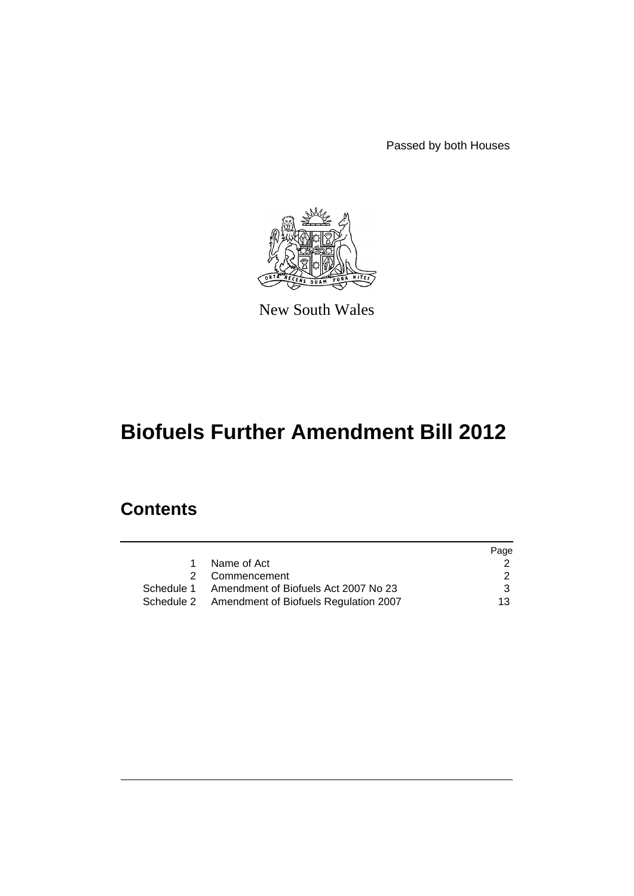Passed by both Houses



New South Wales

# **Biofuels Further Amendment Bill 2012**

# **Contents**

|                                                  | Page          |
|--------------------------------------------------|---------------|
| Name of Act                                      |               |
| 2 Commencement                                   | $\mathcal{P}$ |
| Schedule 1 Amendment of Biofuels Act 2007 No 23  | 3             |
| Schedule 2 Amendment of Biofuels Regulation 2007 | 13.           |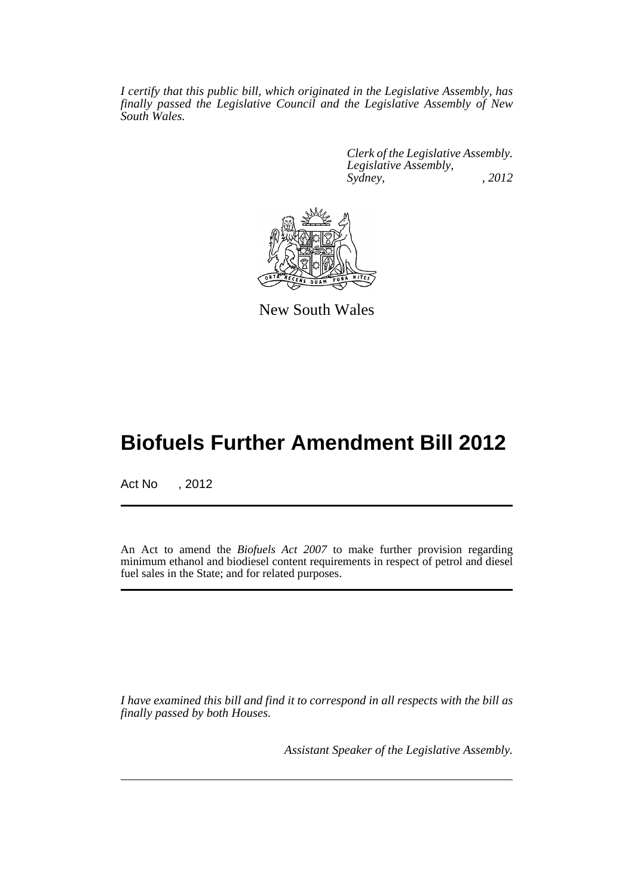*I certify that this public bill, which originated in the Legislative Assembly, has finally passed the Legislative Council and the Legislative Assembly of New South Wales.*

> *Clerk of the Legislative Assembly. Legislative Assembly, Sydney, , 2012*



New South Wales

# **Biofuels Further Amendment Bill 2012**

Act No , 2012

An Act to amend the *Biofuels Act 2007* to make further provision regarding minimum ethanol and biodiesel content requirements in respect of petrol and diesel fuel sales in the State; and for related purposes.

*I have examined this bill and find it to correspond in all respects with the bill as finally passed by both Houses.*

*Assistant Speaker of the Legislative Assembly.*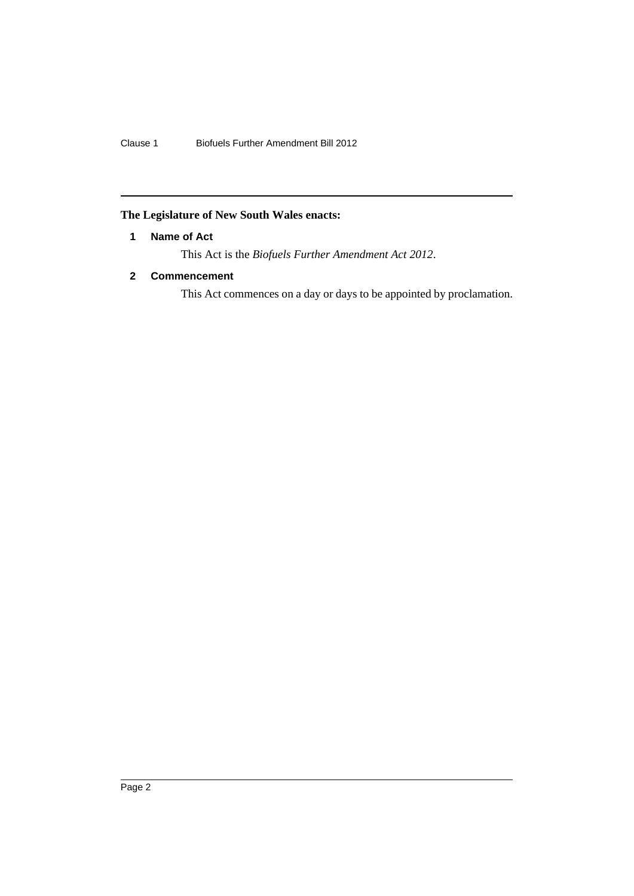Clause 1 Biofuels Further Amendment Bill 2012

# <span id="page-3-0"></span>**The Legislature of New South Wales enacts:**

# **1 Name of Act**

This Act is the *Biofuels Further Amendment Act 2012*.

# <span id="page-3-1"></span>**2 Commencement**

This Act commences on a day or days to be appointed by proclamation.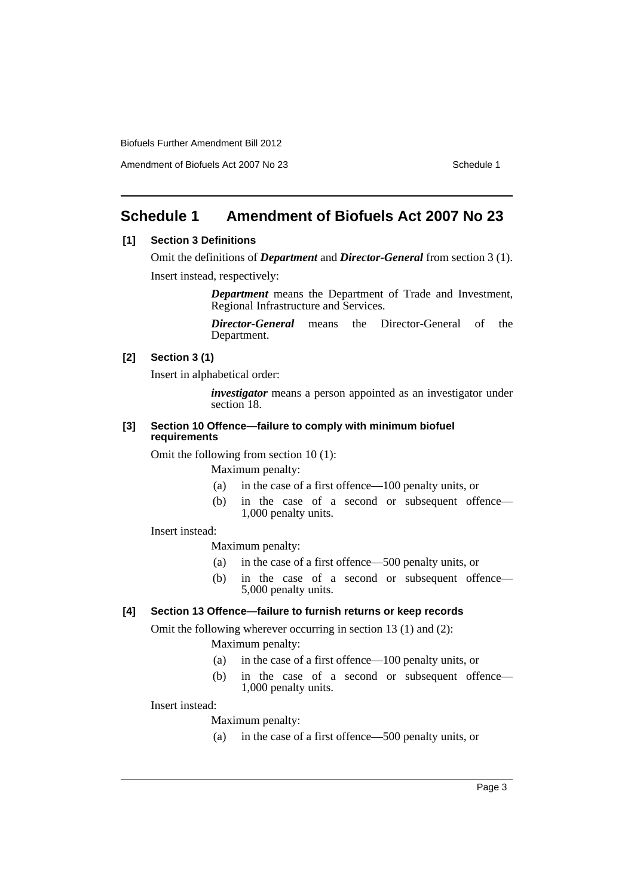Amendment of Biofuels Act 2007 No 23 Schedule 1

# <span id="page-4-0"></span>**Schedule 1 Amendment of Biofuels Act 2007 No 23**

# **[1] Section 3 Definitions**

Omit the definitions of *Department* and *Director-General* from section 3 (1). Insert instead, respectively:

> *Department* means the Department of Trade and Investment, Regional Infrastructure and Services.

> *Director-General* means the Director-General of the Department.

## **[2] Section 3 (1)**

Insert in alphabetical order:

*investigator* means a person appointed as an investigator under section 18.

#### **[3] Section 10 Offence—failure to comply with minimum biofuel requirements**

Omit the following from section 10 (1):

Maximum penalty:

- (a) in the case of a first offence—100 penalty units, or
- (b) in the case of a second or subsequent offence— 1,000 penalty units.

Insert instead:

Maximum penalty:

- (a) in the case of a first offence—500 penalty units, or
- (b) in the case of a second or subsequent offence— 5,000 penalty units.

# **[4] Section 13 Offence—failure to furnish returns or keep records**

Omit the following wherever occurring in section 13 (1) and (2):

Maximum penalty:

- (a) in the case of a first offence—100 penalty units, or
- (b) in the case of a second or subsequent offence— 1,000 penalty units.

#### Insert instead:

Maximum penalty:

(a) in the case of a first offence—500 penalty units, or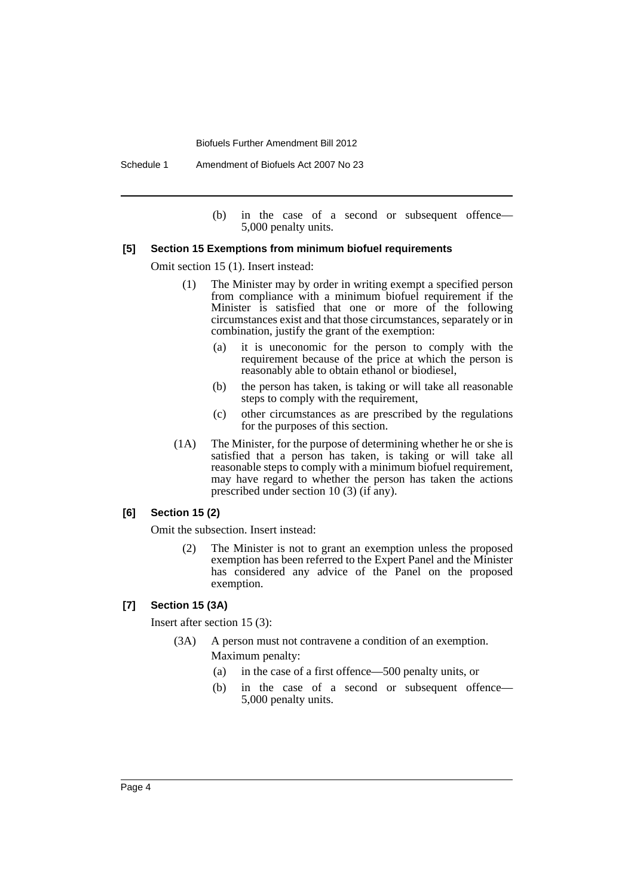Schedule 1 Amendment of Biofuels Act 2007 No 23

(b) in the case of a second or subsequent offence— 5,000 penalty units.

## **[5] Section 15 Exemptions from minimum biofuel requirements**

Omit section 15 (1). Insert instead:

- (1) The Minister may by order in writing exempt a specified person from compliance with a minimum biofuel requirement if the Minister is satisfied that one or more of the following circumstances exist and that those circumstances, separately or in combination, justify the grant of the exemption:
	- (a) it is uneconomic for the person to comply with the requirement because of the price at which the person is reasonably able to obtain ethanol or biodiesel,
	- (b) the person has taken, is taking or will take all reasonable steps to comply with the requirement,
	- (c) other circumstances as are prescribed by the regulations for the purposes of this section.
- (1A) The Minister, for the purpose of determining whether he or she is satisfied that a person has taken, is taking or will take all reasonable steps to comply with a minimum biofuel requirement, may have regard to whether the person has taken the actions prescribed under section 10 (3) (if any).

#### **[6] Section 15 (2)**

Omit the subsection. Insert instead:

(2) The Minister is not to grant an exemption unless the proposed exemption has been referred to the Expert Panel and the Minister has considered any advice of the Panel on the proposed exemption.

#### **[7] Section 15 (3A)**

Insert after section 15 (3):

- (3A) A person must not contravene a condition of an exemption. Maximum penalty:
	- (a) in the case of a first offence—500 penalty units, or
	- (b) in the case of a second or subsequent offence— 5,000 penalty units.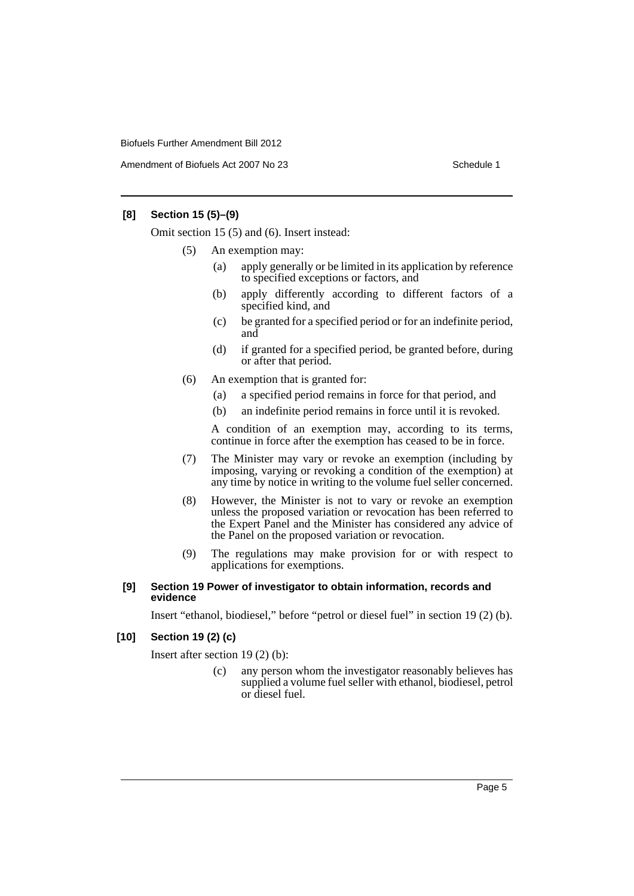Amendment of Biofuels Act 2007 No 23 Schedule 1

## **[8] Section 15 (5)–(9)**

Omit section 15 (5) and (6). Insert instead:

- (5) An exemption may:
	- (a) apply generally or be limited in its application by reference to specified exceptions or factors, and
	- (b) apply differently according to different factors of a specified kind, and
	- (c) be granted for a specified period or for an indefinite period, and
	- (d) if granted for a specified period, be granted before, during or after that period.
- (6) An exemption that is granted for:
	- (a) a specified period remains in force for that period, and
	- (b) an indefinite period remains in force until it is revoked.

A condition of an exemption may, according to its terms, continue in force after the exemption has ceased to be in force.

- (7) The Minister may vary or revoke an exemption (including by imposing, varying or revoking a condition of the exemption) at any time by notice in writing to the volume fuel seller concerned.
- (8) However, the Minister is not to vary or revoke an exemption unless the proposed variation or revocation has been referred to the Expert Panel and the Minister has considered any advice of the Panel on the proposed variation or revocation.
- (9) The regulations may make provision for or with respect to applications for exemptions.

#### **[9] Section 19 Power of investigator to obtain information, records and evidence**

Insert "ethanol, biodiesel," before "petrol or diesel fuel" in section 19 (2) (b).

#### **[10] Section 19 (2) (c)**

Insert after section 19 (2) (b):

(c) any person whom the investigator reasonably believes has supplied a volume fuel seller with ethanol, biodiesel, petrol or diesel fuel.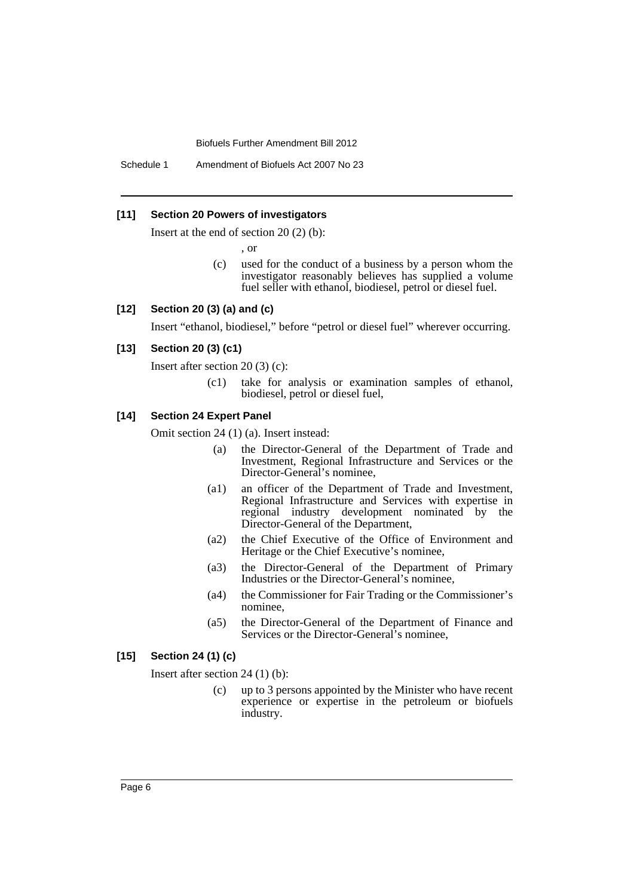Schedule 1 Amendment of Biofuels Act 2007 No 23

#### **[11] Section 20 Powers of investigators**

Insert at the end of section 20 (2) (b):

, or

(c) used for the conduct of a business by a person whom the investigator reasonably believes has supplied a volume fuel seller with ethanol, biodiesel, petrol or diesel fuel.

# **[12] Section 20 (3) (a) and (c)**

Insert "ethanol, biodiesel," before "petrol or diesel fuel" wherever occurring.

#### **[13] Section 20 (3) (c1)**

Insert after section 20 (3) (c):

(c1) take for analysis or examination samples of ethanol, biodiesel, petrol or diesel fuel,

# **[14] Section 24 Expert Panel**

Omit section 24 (1) (a). Insert instead:

- (a) the Director-General of the Department of Trade and Investment, Regional Infrastructure and Services or the Director-General's nominee,
- (a1) an officer of the Department of Trade and Investment, Regional Infrastructure and Services with expertise in regional industry development nominated by the Director-General of the Department,
- (a2) the Chief Executive of the Office of Environment and Heritage or the Chief Executive's nominee,
- (a3) the Director-General of the Department of Primary Industries or the Director-General's nominee,
- (a4) the Commissioner for Fair Trading or the Commissioner's nominee,
- (a5) the Director-General of the Department of Finance and Services or the Director-General's nominee,

## **[15] Section 24 (1) (c)**

Insert after section 24 (1) (b):

(c) up to 3 persons appointed by the Minister who have recent experience or expertise in the petroleum or biofuels industry.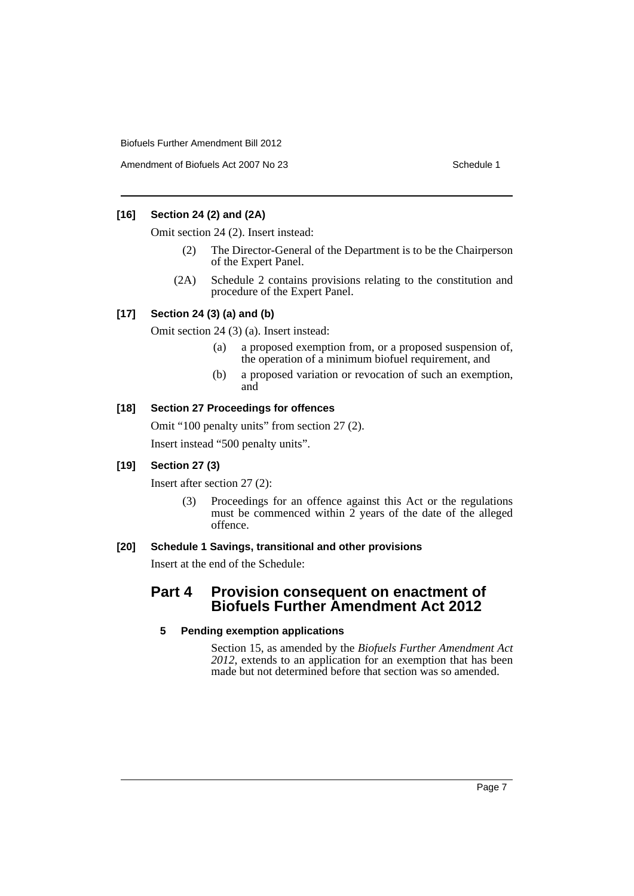Amendment of Biofuels Act 2007 No 23 Schedule 1

# **[16] Section 24 (2) and (2A)**

Omit section 24 (2). Insert instead:

- (2) The Director-General of the Department is to be the Chairperson of the Expert Panel.
- (2A) Schedule 2 contains provisions relating to the constitution and procedure of the Expert Panel.

# **[17] Section 24 (3) (a) and (b)**

Omit section 24 (3) (a). Insert instead:

- (a) a proposed exemption from, or a proposed suspension of, the operation of a minimum biofuel requirement, and
- (b) a proposed variation or revocation of such an exemption, and

## **[18] Section 27 Proceedings for offences**

Omit "100 penalty units" from section 27 (2). Insert instead "500 penalty units".

# **[19] Section 27 (3)**

Insert after section 27 (2):

(3) Proceedings for an offence against this Act or the regulations must be commenced within  $\overline{2}$  years of the date of the alleged offence.

#### **[20] Schedule 1 Savings, transitional and other provisions**

Insert at the end of the Schedule:

# **Part 4 Provision consequent on enactment of Biofuels Further Amendment Act 2012**

#### **5 Pending exemption applications**

Section 15, as amended by the *Biofuels Further Amendment Act 2012*, extends to an application for an exemption that has been made but not determined before that section was so amended.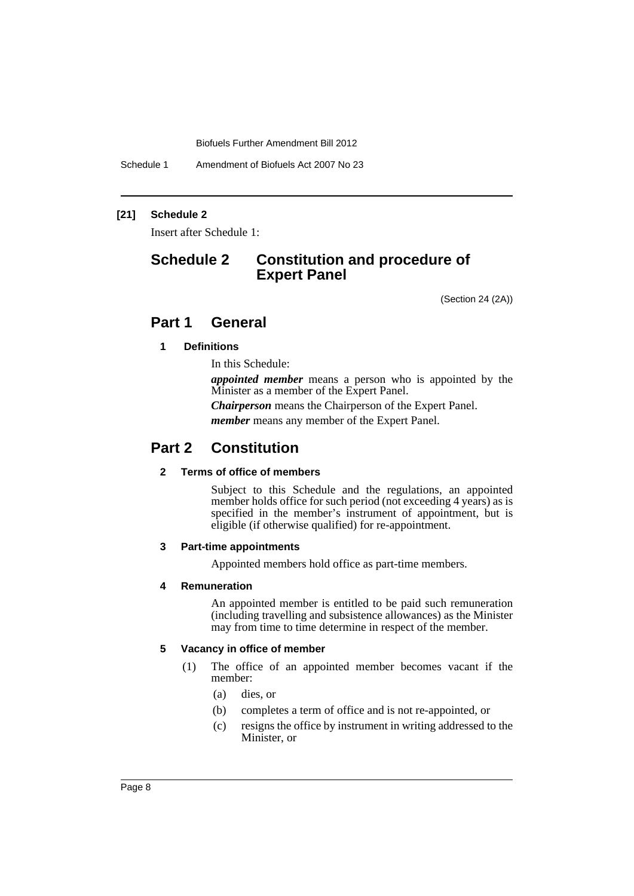Schedule 1 Amendment of Biofuels Act 2007 No 23

## **[21] Schedule 2**

Insert after Schedule 1:

# **Schedule 2 Constitution and procedure of Expert Panel**

(Section 24 (2A))

# **Part 1 General**

# **1 Definitions**

In this Schedule:

*appointed member* means a person who is appointed by the Minister as a member of the Expert Panel.

*Chairperson* means the Chairperson of the Expert Panel.

*member* means any member of the Expert Panel.

# **Part 2 Constitution**

# **2 Terms of office of members**

Subject to this Schedule and the regulations, an appointed member holds office for such period (not exceeding 4 years) as is specified in the member's instrument of appointment, but is eligible (if otherwise qualified) for re-appointment.

#### **3 Part-time appointments**

Appointed members hold office as part-time members.

#### **4 Remuneration**

An appointed member is entitled to be paid such remuneration (including travelling and subsistence allowances) as the Minister may from time to time determine in respect of the member.

#### **5 Vacancy in office of member**

- (1) The office of an appointed member becomes vacant if the member:
	- (a) dies, or
	- (b) completes a term of office and is not re-appointed, or
	- (c) resigns the office by instrument in writing addressed to the Minister, or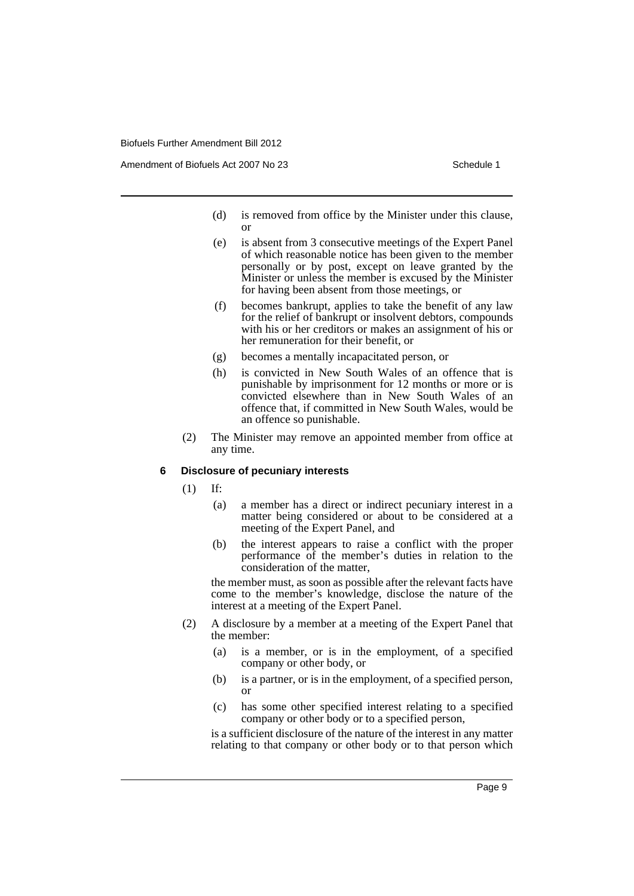Amendment of Biofuels Act 2007 No 23 Schedule 1

- (d) is removed from office by the Minister under this clause, or
- (e) is absent from 3 consecutive meetings of the Expert Panel of which reasonable notice has been given to the member personally or by post, except on leave granted by the Minister or unless the member is excused by the Minister for having been absent from those meetings, or
- (f) becomes bankrupt, applies to take the benefit of any law for the relief of bankrupt or insolvent debtors, compounds with his or her creditors or makes an assignment of his or her remuneration for their benefit, or
- (g) becomes a mentally incapacitated person, or
- (h) is convicted in New South Wales of an offence that is punishable by imprisonment for 12 months or more or is convicted elsewhere than in New South Wales of an offence that, if committed in New South Wales, would be an offence so punishable.
- (2) The Minister may remove an appointed member from office at any time.

#### **6 Disclosure of pecuniary interests**

(1) If:

- (a) a member has a direct or indirect pecuniary interest in a matter being considered or about to be considered at a meeting of the Expert Panel, and
- (b) the interest appears to raise a conflict with the proper performance of the member's duties in relation to the consideration of the matter,

the member must, as soon as possible after the relevant facts have come to the member's knowledge, disclose the nature of the interest at a meeting of the Expert Panel.

- (2) A disclosure by a member at a meeting of the Expert Panel that the member:
	- (a) is a member, or is in the employment, of a specified company or other body, or
	- (b) is a partner, or is in the employment, of a specified person, or
	- (c) has some other specified interest relating to a specified company or other body or to a specified person,

is a sufficient disclosure of the nature of the interest in any matter relating to that company or other body or to that person which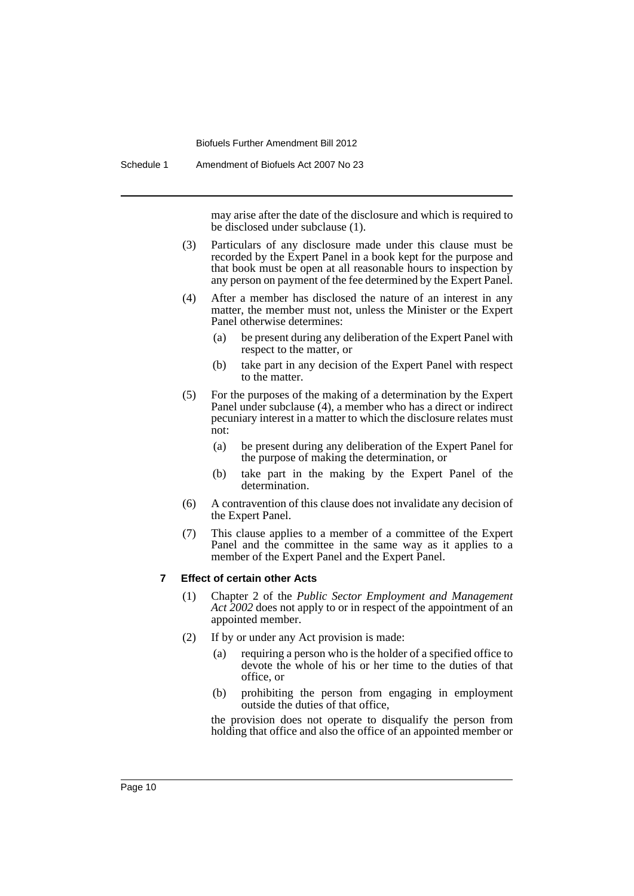Schedule 1 Amendment of Biofuels Act 2007 No 23

may arise after the date of the disclosure and which is required to be disclosed under subclause (1).

- (3) Particulars of any disclosure made under this clause must be recorded by the Expert Panel in a book kept for the purpose and that book must be open at all reasonable hours to inspection by any person on payment of the fee determined by the Expert Panel.
- (4) After a member has disclosed the nature of an interest in any matter, the member must not, unless the Minister or the Expert Panel otherwise determines:
	- (a) be present during any deliberation of the Expert Panel with respect to the matter, or
	- (b) take part in any decision of the Expert Panel with respect to the matter.
- (5) For the purposes of the making of a determination by the Expert Panel under subclause (4), a member who has a direct or indirect pecuniary interest in a matter to which the disclosure relates must not:
	- (a) be present during any deliberation of the Expert Panel for the purpose of making the determination, or
	- (b) take part in the making by the Expert Panel of the determination.
- (6) A contravention of this clause does not invalidate any decision of the Expert Panel.
- (7) This clause applies to a member of a committee of the Expert Panel and the committee in the same way as it applies to a member of the Expert Panel and the Expert Panel.

#### **7 Effect of certain other Acts**

- (1) Chapter 2 of the *Public Sector Employment and Management Act 2002* does not apply to or in respect of the appointment of an appointed member.
- (2) If by or under any Act provision is made:
	- (a) requiring a person who is the holder of a specified office to devote the whole of his or her time to the duties of that office, or
	- (b) prohibiting the person from engaging in employment outside the duties of that office,

the provision does not operate to disqualify the person from holding that office and also the office of an appointed member or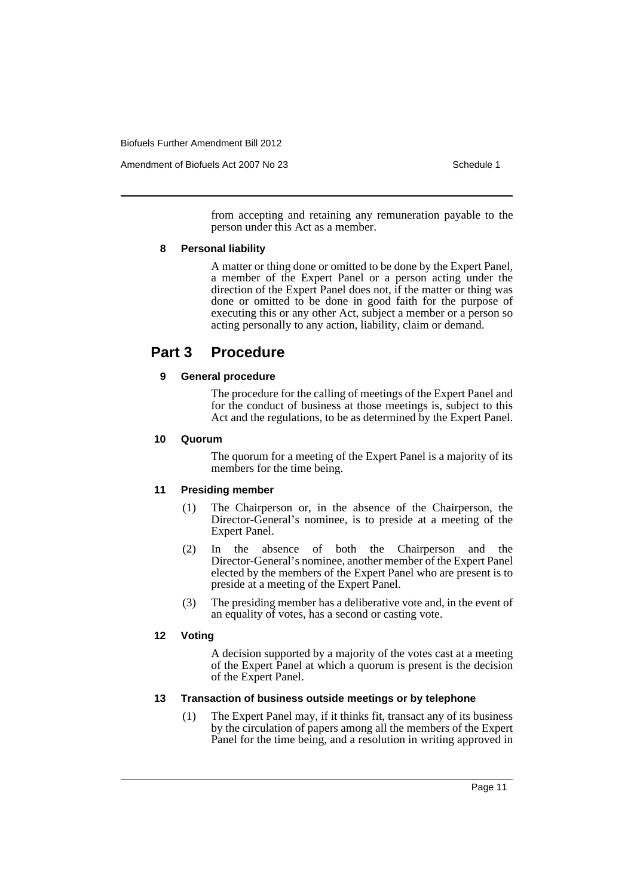Amendment of Biofuels Act 2007 No 23 Schedule 1

from accepting and retaining any remuneration payable to the person under this Act as a member.

# **8 Personal liability**

A matter or thing done or omitted to be done by the Expert Panel, a member of the Expert Panel or a person acting under the direction of the Expert Panel does not, if the matter or thing was done or omitted to be done in good faith for the purpose of executing this or any other Act, subject a member or a person so acting personally to any action, liability, claim or demand.

# **Part 3 Procedure**

# **9 General procedure**

The procedure for the calling of meetings of the Expert Panel and for the conduct of business at those meetings is, subject to this Act and the regulations, to be as determined by the Expert Panel.

## **10 Quorum**

The quorum for a meeting of the Expert Panel is a majority of its members for the time being.

# **11 Presiding member**

- (1) The Chairperson or, in the absence of the Chairperson, the Director-General's nominee, is to preside at a meeting of the Expert Panel.
- (2) In the absence of both the Chairperson and the Director-General's nominee, another member of the Expert Panel elected by the members of the Expert Panel who are present is to preside at a meeting of the Expert Panel.
- (3) The presiding member has a deliberative vote and, in the event of an equality of votes, has a second or casting vote.

# **12 Voting**

A decision supported by a majority of the votes cast at a meeting of the Expert Panel at which a quorum is present is the decision of the Expert Panel.

# **13 Transaction of business outside meetings or by telephone**

(1) The Expert Panel may, if it thinks fit, transact any of its business by the circulation of papers among all the members of the Expert Panel for the time being, and a resolution in writing approved in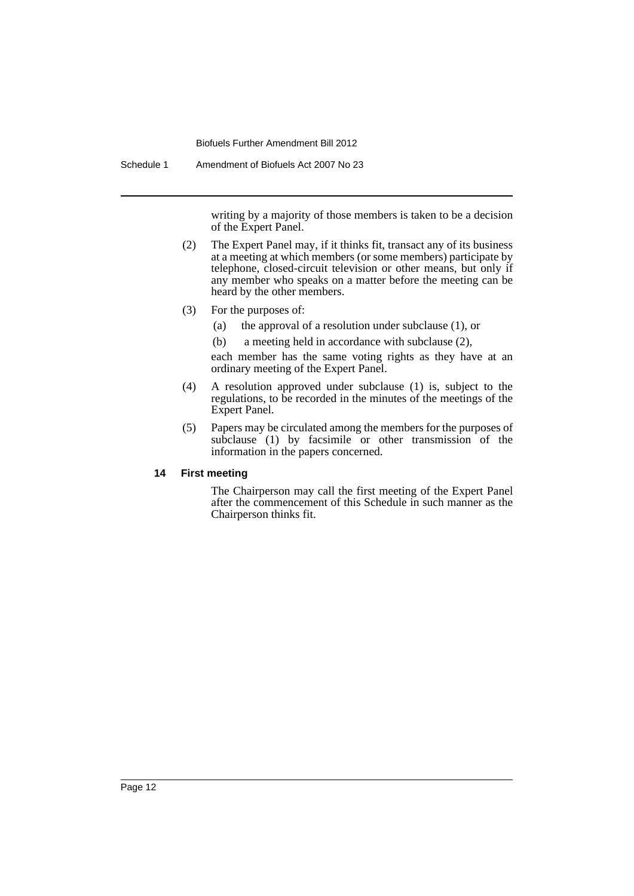Schedule 1 Amendment of Biofuels Act 2007 No 23

writing by a majority of those members is taken to be a decision of the Expert Panel.

- (2) The Expert Panel may, if it thinks fit, transact any of its business at a meeting at which members (or some members) participate by telephone, closed-circuit television or other means, but only if any member who speaks on a matter before the meeting can be heard by the other members.
- (3) For the purposes of:
	- (a) the approval of a resolution under subclause (1), or
	- (b) a meeting held in accordance with subclause (2),

each member has the same voting rights as they have at an ordinary meeting of the Expert Panel.

- (4) A resolution approved under subclause (1) is, subject to the regulations, to be recorded in the minutes of the meetings of the Expert Panel.
- (5) Papers may be circulated among the members for the purposes of subclause (1) by facsimile or other transmission of the information in the papers concerned.

# **14 First meeting**

The Chairperson may call the first meeting of the Expert Panel after the commencement of this Schedule in such manner as the Chairperson thinks fit.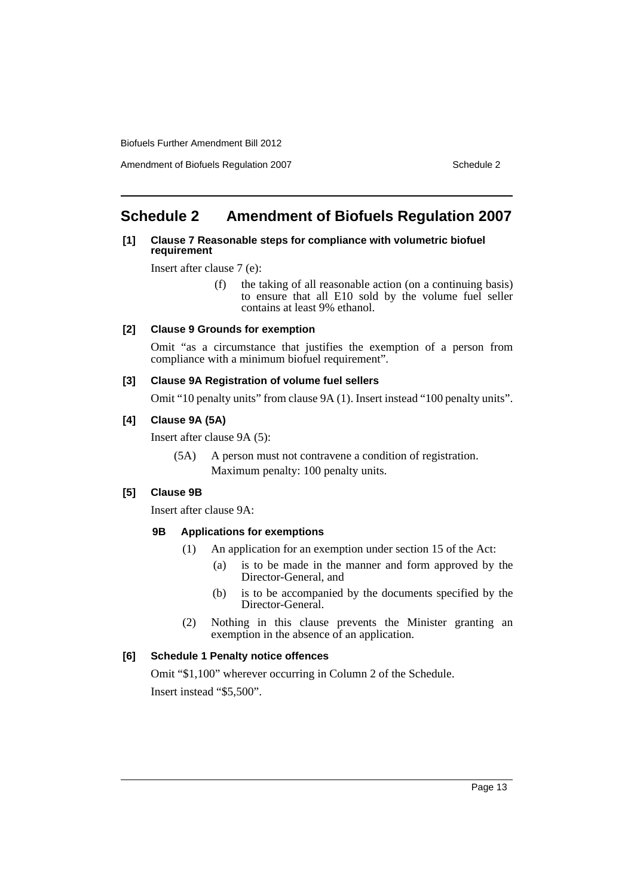Amendment of Biofuels Regulation 2007 Schedule 2

# <span id="page-14-0"></span>**Schedule 2 Amendment of Biofuels Regulation 2007**

#### **[1] Clause 7 Reasonable steps for compliance with volumetric biofuel requirement**

Insert after clause 7 (e):

(f) the taking of all reasonable action (on a continuing basis) to ensure that all E10 sold by the volume fuel seller contains at least 9% ethanol.

## **[2] Clause 9 Grounds for exemption**

Omit "as a circumstance that justifies the exemption of a person from compliance with a minimum biofuel requirement".

## **[3] Clause 9A Registration of volume fuel sellers**

Omit "10 penalty units" from clause 9A (1). Insert instead "100 penalty units".

## **[4] Clause 9A (5A)**

Insert after clause 9A (5):

(5A) A person must not contravene a condition of registration. Maximum penalty: 100 penalty units.

# **[5] Clause 9B**

Insert after clause 9A:

#### **9B Applications for exemptions**

- (1) An application for an exemption under section 15 of the Act:
	- (a) is to be made in the manner and form approved by the Director-General, and
	- (b) is to be accompanied by the documents specified by the Director-General.
- (2) Nothing in this clause prevents the Minister granting an exemption in the absence of an application.

#### **[6] Schedule 1 Penalty notice offences**

Omit "\$1,100" wherever occurring in Column 2 of the Schedule. Insert instead "\$5,500".